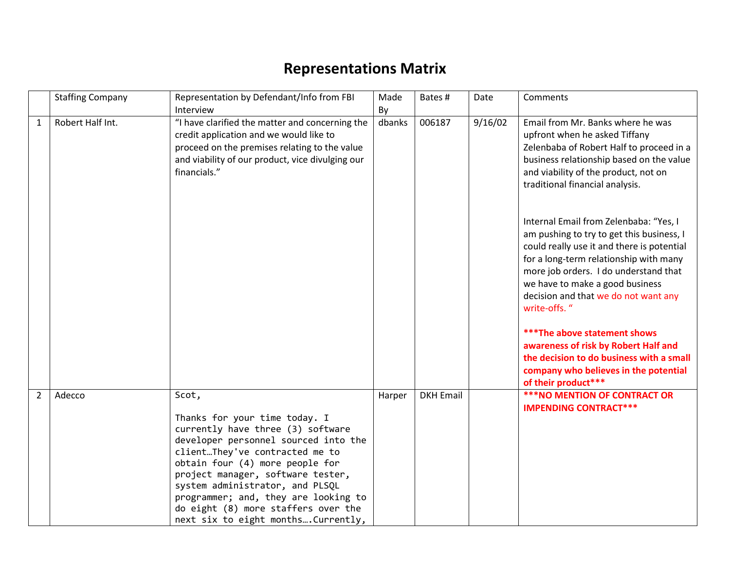## **Representations Matrix**

| <b>Staffing Company</b>  | Representation by Defendant/Info from FBI                                                                                                                                                                                                                                                                                                                                             | Made   | Bates #          | Date    | Comments                                                                                                                                                                                                                                                                                                                                                                                                                                    |
|--------------------------|---------------------------------------------------------------------------------------------------------------------------------------------------------------------------------------------------------------------------------------------------------------------------------------------------------------------------------------------------------------------------------------|--------|------------------|---------|---------------------------------------------------------------------------------------------------------------------------------------------------------------------------------------------------------------------------------------------------------------------------------------------------------------------------------------------------------------------------------------------------------------------------------------------|
|                          | Interview                                                                                                                                                                                                                                                                                                                                                                             | By     |                  |         |                                                                                                                                                                                                                                                                                                                                                                                                                                             |
| Robert Half Int.<br>1    | "I have clarified the matter and concerning the<br>credit application and we would like to<br>proceed on the premises relating to the value<br>and viability of our product, vice divulging our<br>financials."                                                                                                                                                                       | dbanks | 006187           | 9/16/02 | Email from Mr. Banks where he was<br>upfront when he asked Tiffany<br>Zelenbaba of Robert Half to proceed in a<br>business relationship based on the value<br>and viability of the product, not on<br>traditional financial analysis.                                                                                                                                                                                                       |
|                          |                                                                                                                                                                                                                                                                                                                                                                                       |        |                  |         | Internal Email from Zelenbaba: "Yes, I<br>am pushing to try to get this business, I<br>could really use it and there is potential<br>for a long-term relationship with many<br>more job orders. I do understand that<br>we have to make a good business<br>decision and that we do not want any<br>write-offs. "<br><b>***The above statement shows</b><br>awareness of risk by Robert Half and<br>the decision to do business with a small |
|                          |                                                                                                                                                                                                                                                                                                                                                                                       |        |                  |         | company who believes in the potential<br>of their product***                                                                                                                                                                                                                                                                                                                                                                                |
| $\overline{2}$<br>Adecco | Scot,<br>Thanks for your time today. I<br>currently have three (3) software<br>developer personnel sourced into the<br>clientThey've contracted me to<br>obtain four (4) more people for<br>project manager, software tester,<br>system administrator, and PLSQL<br>programmer; and, they are looking to<br>do eight (8) more staffers over the<br>next six to eight monthsCurrently, | Harper | <b>DKH Email</b> |         | <b>***NO MENTION OF CONTRACT OR</b><br><b>IMPENDING CONTRACT***</b>                                                                                                                                                                                                                                                                                                                                                                         |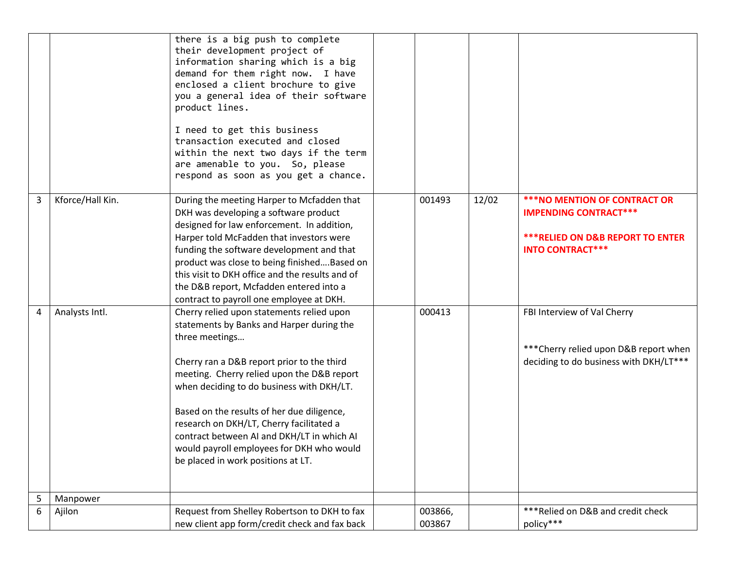|   |                  | there is a big push to complete<br>their development project of<br>information sharing which is a big<br>demand for them right now. I have<br>enclosed a client brochure to give<br>you a general idea of their software<br>product lines.<br>I need to get this business<br>transaction executed and closed<br>within the next two days if the term<br>are amenable to you. So, please<br>respond as soon as you get a chance.                                              |                   |       |                                                                                                                                               |
|---|------------------|------------------------------------------------------------------------------------------------------------------------------------------------------------------------------------------------------------------------------------------------------------------------------------------------------------------------------------------------------------------------------------------------------------------------------------------------------------------------------|-------------------|-------|-----------------------------------------------------------------------------------------------------------------------------------------------|
| 3 | Kforce/Hall Kin. | During the meeting Harper to Mcfadden that<br>DKH was developing a software product<br>designed for law enforcement. In addition,<br>Harper told McFadden that investors were<br>funding the software development and that<br>product was close to being finishedBased on<br>this visit to DKH office and the results and of<br>the D&B report, Mcfadden entered into a<br>contract to payroll one employee at DKH.                                                          | 001493            | 12/02 | <b>***NO MENTION OF CONTRACT OR</b><br><b>IMPENDING CONTRACT***</b><br><b>***RELIED ON D&amp;B REPORT TO ENTER</b><br><b>INTO CONTRACT***</b> |
| 4 | Analysts Intl.   | Cherry relied upon statements relied upon<br>statements by Banks and Harper during the<br>three meetings<br>Cherry ran a D&B report prior to the third<br>meeting. Cherry relied upon the D&B report<br>when deciding to do business with DKH/LT.<br>Based on the results of her due diligence,<br>research on DKH/LT, Cherry facilitated a<br>contract between AI and DKH/LT in which AI<br>would payroll employees for DKH who would<br>be placed in work positions at LT. | 000413            |       | FBI Interview of Val Cherry<br>*** Cherry relied upon D&B report when<br>deciding to do business with DKH/LT***                               |
| 5 | Manpower         |                                                                                                                                                                                                                                                                                                                                                                                                                                                                              |                   |       |                                                                                                                                               |
| 6 | Ajilon           | Request from Shelley Robertson to DKH to fax<br>new client app form/credit check and fax back                                                                                                                                                                                                                                                                                                                                                                                | 003866,<br>003867 |       | *** Relied on D&B and credit check<br>policy***                                                                                               |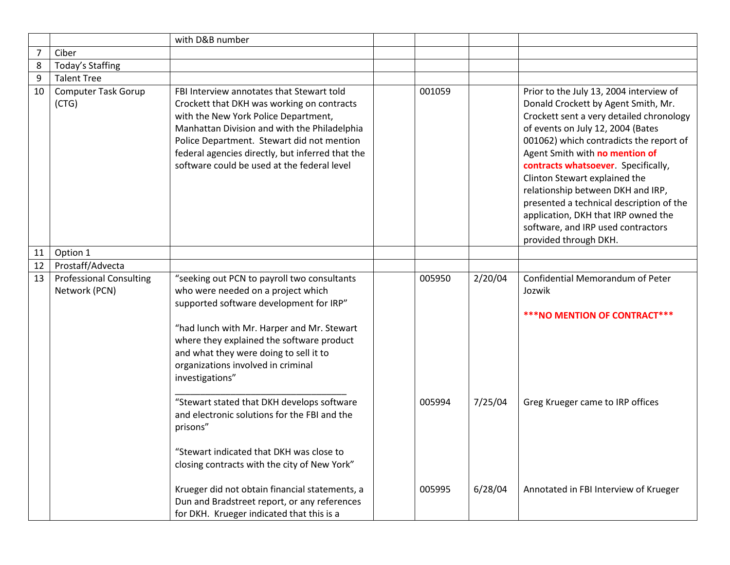|                |                                                 | with D&B number                                                                                                                                                                                                                                                                                                                  |                  |                    |                                                                                                                                                                                                                                                                                                                                                                                                                                                                                                             |
|----------------|-------------------------------------------------|----------------------------------------------------------------------------------------------------------------------------------------------------------------------------------------------------------------------------------------------------------------------------------------------------------------------------------|------------------|--------------------|-------------------------------------------------------------------------------------------------------------------------------------------------------------------------------------------------------------------------------------------------------------------------------------------------------------------------------------------------------------------------------------------------------------------------------------------------------------------------------------------------------------|
| $\overline{7}$ | Ciber                                           |                                                                                                                                                                                                                                                                                                                                  |                  |                    |                                                                                                                                                                                                                                                                                                                                                                                                                                                                                                             |
| 8              | Today's Staffing                                |                                                                                                                                                                                                                                                                                                                                  |                  |                    |                                                                                                                                                                                                                                                                                                                                                                                                                                                                                                             |
| 9              | <b>Talent Tree</b>                              |                                                                                                                                                                                                                                                                                                                                  |                  |                    |                                                                                                                                                                                                                                                                                                                                                                                                                                                                                                             |
| 10             | <b>Computer Task Gorup</b><br>(CTG)             | FBI Interview annotates that Stewart told<br>Crockett that DKH was working on contracts<br>with the New York Police Department,<br>Manhattan Division and with the Philadelphia<br>Police Department. Stewart did not mention<br>federal agencies directly, but inferred that the<br>software could be used at the federal level | 001059           |                    | Prior to the July 13, 2004 interview of<br>Donald Crockett by Agent Smith, Mr.<br>Crockett sent a very detailed chronology<br>of events on July 12, 2004 (Bates<br>001062) which contradicts the report of<br>Agent Smith with no mention of<br>contracts whatsoever. Specifically,<br>Clinton Stewart explained the<br>relationship between DKH and IRP,<br>presented a technical description of the<br>application, DKH that IRP owned the<br>software, and IRP used contractors<br>provided through DKH. |
| 11             | Option 1                                        |                                                                                                                                                                                                                                                                                                                                  |                  |                    |                                                                                                                                                                                                                                                                                                                                                                                                                                                                                                             |
| 12             | Prostaff/Advecta                                |                                                                                                                                                                                                                                                                                                                                  |                  |                    |                                                                                                                                                                                                                                                                                                                                                                                                                                                                                                             |
| 13             | <b>Professional Consulting</b><br>Network (PCN) | "seeking out PCN to payroll two consultants<br>who were needed on a project which<br>supported software development for IRP"<br>"had lunch with Mr. Harper and Mr. Stewart<br>where they explained the software product<br>and what they were doing to sell it to<br>organizations involved in criminal<br>investigations"       | 005950           | 2/20/04            | Confidential Memorandum of Peter<br>Jozwik<br>*** NO MENTION OF CONTRACT***                                                                                                                                                                                                                                                                                                                                                                                                                                 |
|                |                                                 | "Stewart stated that DKH develops software<br>and electronic solutions for the FBI and the<br>prisons"<br>"Stewart indicated that DKH was close to<br>closing contracts with the city of New York"<br>Krueger did not obtain financial statements, a                                                                             | 005994<br>005995 | 7/25/04<br>6/28/04 | Greg Krueger came to IRP offices<br>Annotated in FBI Interview of Krueger                                                                                                                                                                                                                                                                                                                                                                                                                                   |
|                |                                                 | Dun and Bradstreet report, or any references<br>for DKH. Krueger indicated that this is a                                                                                                                                                                                                                                        |                  |                    |                                                                                                                                                                                                                                                                                                                                                                                                                                                                                                             |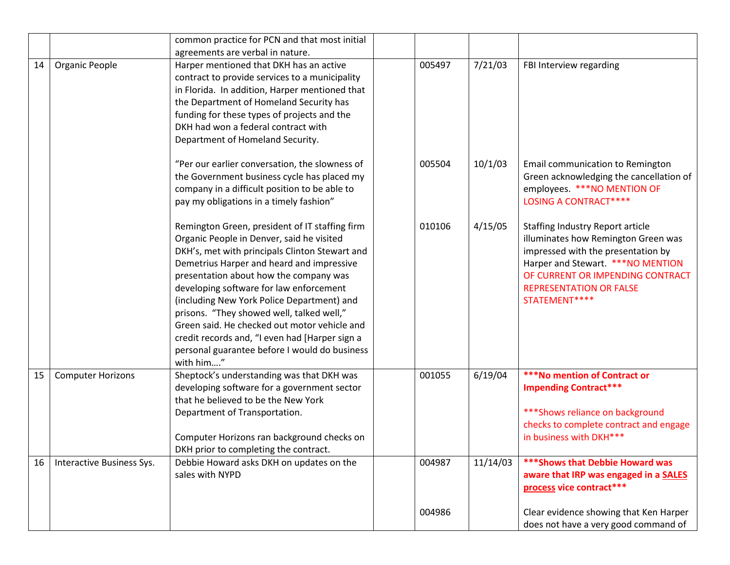|    |                           | common practice for PCN and that most initial                                                                                                                                                                                                                                                                                                                                                                                                                                                                                              |        |          |                                                                                                                                                                                                                                                  |
|----|---------------------------|--------------------------------------------------------------------------------------------------------------------------------------------------------------------------------------------------------------------------------------------------------------------------------------------------------------------------------------------------------------------------------------------------------------------------------------------------------------------------------------------------------------------------------------------|--------|----------|--------------------------------------------------------------------------------------------------------------------------------------------------------------------------------------------------------------------------------------------------|
|    |                           | agreements are verbal in nature.                                                                                                                                                                                                                                                                                                                                                                                                                                                                                                           |        |          |                                                                                                                                                                                                                                                  |
| 14 | Organic People            | Harper mentioned that DKH has an active<br>contract to provide services to a municipality<br>in Florida. In addition, Harper mentioned that<br>the Department of Homeland Security has<br>funding for these types of projects and the<br>DKH had won a federal contract with<br>Department of Homeland Security.                                                                                                                                                                                                                           | 005497 | 7/21/03  | FBI Interview regarding                                                                                                                                                                                                                          |
|    |                           | "Per our earlier conversation, the slowness of<br>the Government business cycle has placed my<br>company in a difficult position to be able to<br>pay my obligations in a timely fashion"                                                                                                                                                                                                                                                                                                                                                  | 005504 | 10/1/03  | Email communication to Remington<br>Green acknowledging the cancellation of<br>employees. ***NO MENTION OF<br><b>LOSING A CONTRACT****</b>                                                                                                       |
|    |                           | Remington Green, president of IT staffing firm<br>Organic People in Denver, said he visited<br>DKH's, met with principals Clinton Stewart and<br>Demetrius Harper and heard and impressive<br>presentation about how the company was<br>developing software for law enforcement<br>(including New York Police Department) and<br>prisons. "They showed well, talked well,"<br>Green said. He checked out motor vehicle and<br>credit records and, "I even had [Harper sign a<br>personal guarantee before I would do business<br>with him" | 010106 | 4/15/05  | <b>Staffing Industry Report article</b><br>illuminates how Remington Green was<br>impressed with the presentation by<br>Harper and Stewart. ***NO MENTION<br>OF CURRENT OR IMPENDING CONTRACT<br><b>REPRESENTATION OR FALSE</b><br>STATEMENT**** |
| 15 | <b>Computer Horizons</b>  | Sheptock's understanding was that DKH was<br>developing software for a government sector<br>that he believed to be the New York<br>Department of Transportation.<br>Computer Horizons ran background checks on<br>DKH prior to completing the contract.                                                                                                                                                                                                                                                                                    | 001055 | 6/19/04  | <b>***No mention of Contract or</b><br><b>Impending Contract***</b><br>*** Shows reliance on background<br>checks to complete contract and engage<br>in business with DKH***                                                                     |
| 16 | Interactive Business Sys. | Debbie Howard asks DKH on updates on the<br>sales with NYPD                                                                                                                                                                                                                                                                                                                                                                                                                                                                                | 004987 | 11/14/03 | *** Shows that Debbie Howard was<br>aware that IRP was engaged in a SALES<br>process vice contract***                                                                                                                                            |
|    |                           |                                                                                                                                                                                                                                                                                                                                                                                                                                                                                                                                            | 004986 |          | Clear evidence showing that Ken Harper<br>does not have a very good command of                                                                                                                                                                   |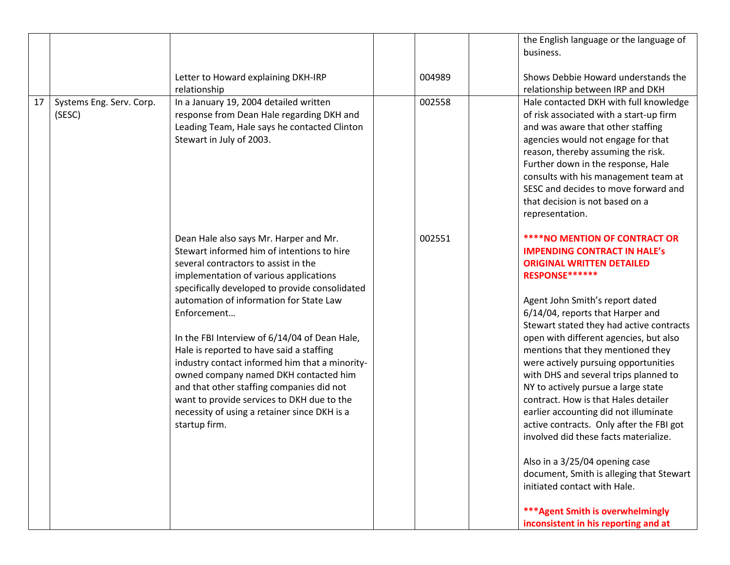|    |                                    |                                                                                                                                                                                                                                                                                                                                                                                                                                                                                                                                                                                                                                        |        | the English language or the language of<br>business.                                                                                                                                                                                                                                                                                                                                                                                                                                                                                                                                                                                                                                                                                                                                                                                |
|----|------------------------------------|----------------------------------------------------------------------------------------------------------------------------------------------------------------------------------------------------------------------------------------------------------------------------------------------------------------------------------------------------------------------------------------------------------------------------------------------------------------------------------------------------------------------------------------------------------------------------------------------------------------------------------------|--------|-------------------------------------------------------------------------------------------------------------------------------------------------------------------------------------------------------------------------------------------------------------------------------------------------------------------------------------------------------------------------------------------------------------------------------------------------------------------------------------------------------------------------------------------------------------------------------------------------------------------------------------------------------------------------------------------------------------------------------------------------------------------------------------------------------------------------------------|
|    |                                    | Letter to Howard explaining DKH-IRP<br>relationship                                                                                                                                                                                                                                                                                                                                                                                                                                                                                                                                                                                    | 004989 | Shows Debbie Howard understands the<br>relationship between IRP and DKH                                                                                                                                                                                                                                                                                                                                                                                                                                                                                                                                                                                                                                                                                                                                                             |
| 17 | Systems Eng. Serv. Corp.<br>(SESC) | In a January 19, 2004 detailed written<br>response from Dean Hale regarding DKH and<br>Leading Team, Hale says he contacted Clinton<br>Stewart in July of 2003.                                                                                                                                                                                                                                                                                                                                                                                                                                                                        | 002558 | Hale contacted DKH with full knowledge<br>of risk associated with a start-up firm<br>and was aware that other staffing<br>agencies would not engage for that<br>reason, thereby assuming the risk.<br>Further down in the response, Hale<br>consults with his management team at<br>SESC and decides to move forward and<br>that decision is not based on a<br>representation.                                                                                                                                                                                                                                                                                                                                                                                                                                                      |
|    |                                    | Dean Hale also says Mr. Harper and Mr.<br>Stewart informed him of intentions to hire<br>several contractors to assist in the<br>implementation of various applications<br>specifically developed to provide consolidated<br>automation of information for State Law<br>Enforcement<br>In the FBI Interview of 6/14/04 of Dean Hale,<br>Hale is reported to have said a staffing<br>industry contact informed him that a minority-<br>owned company named DKH contacted him<br>and that other staffing companies did not<br>want to provide services to DKH due to the<br>necessity of using a retainer since DKH is a<br>startup firm. | 002551 | <b>****NO MENTION OF CONTRACT OR</b><br><b>IMPENDING CONTRACT IN HALE's</b><br><b>ORIGINAL WRITTEN DETAILED</b><br>RESPONSE******<br>Agent John Smith's report dated<br>6/14/04, reports that Harper and<br>Stewart stated they had active contracts<br>open with different agencies, but also<br>mentions that they mentioned they<br>were actively pursuing opportunities<br>with DHS and several trips planned to<br>NY to actively pursue a large state<br>contract. How is that Hales detailer<br>earlier accounting did not illuminate<br>active contracts. Only after the FBI got<br>involved did these facts materialize.<br>Also in a 3/25/04 opening case<br>document, Smith is alleging that Stewart<br>initiated contact with Hale.<br><b>*** Agent Smith is overwhelmingly</b><br>inconsistent in his reporting and at |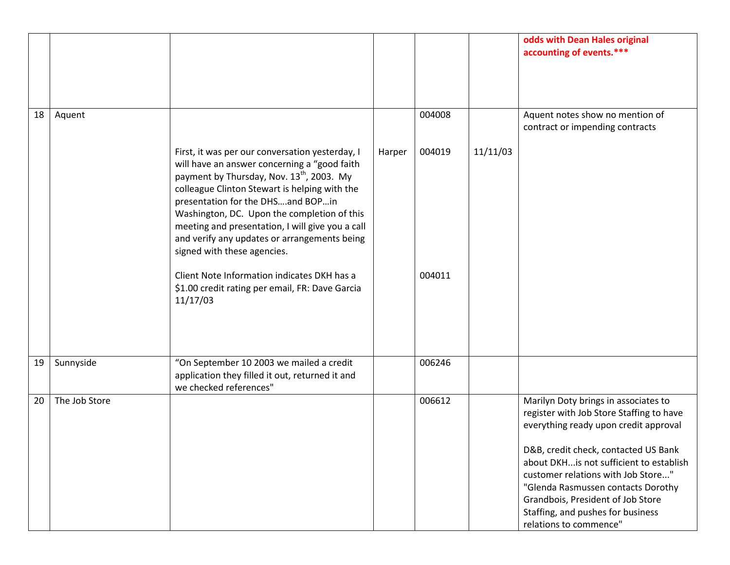|    |               |                                                                                                                                                                                                                                                                                                                                                                                                                                                                                                                                                |        |                  |          | odds with Dean Hales original<br>accounting of events.***                                                                                                                                                                                                                                                                                                                                    |
|----|---------------|------------------------------------------------------------------------------------------------------------------------------------------------------------------------------------------------------------------------------------------------------------------------------------------------------------------------------------------------------------------------------------------------------------------------------------------------------------------------------------------------------------------------------------------------|--------|------------------|----------|----------------------------------------------------------------------------------------------------------------------------------------------------------------------------------------------------------------------------------------------------------------------------------------------------------------------------------------------------------------------------------------------|
| 18 | Aquent        |                                                                                                                                                                                                                                                                                                                                                                                                                                                                                                                                                |        | 004008           |          | Aquent notes show no mention of<br>contract or impending contracts                                                                                                                                                                                                                                                                                                                           |
|    |               | First, it was per our conversation yesterday, I<br>will have an answer concerning a "good faith<br>payment by Thursday, Nov. 13 <sup>th</sup> , 2003. My<br>colleague Clinton Stewart is helping with the<br>presentation for the DHSand BOPin<br>Washington, DC. Upon the completion of this<br>meeting and presentation, I will give you a call<br>and verify any updates or arrangements being<br>signed with these agencies.<br>Client Note Information indicates DKH has a<br>\$1.00 credit rating per email, FR: Dave Garcia<br>11/17/03 | Harper | 004019<br>004011 | 11/11/03 |                                                                                                                                                                                                                                                                                                                                                                                              |
| 19 | Sunnyside     | "On September 10 2003 we mailed a credit<br>application they filled it out, returned it and<br>we checked references"                                                                                                                                                                                                                                                                                                                                                                                                                          |        | 006246           |          |                                                                                                                                                                                                                                                                                                                                                                                              |
| 20 | The Job Store |                                                                                                                                                                                                                                                                                                                                                                                                                                                                                                                                                |        | 006612           |          | Marilyn Doty brings in associates to<br>register with Job Store Staffing to have<br>everything ready upon credit approval<br>D&B, credit check, contacted US Bank<br>about DKHis not sufficient to establish<br>customer relations with Job Store"<br>"Glenda Rasmussen contacts Dorothy<br>Grandbois, President of Job Store<br>Staffing, and pushes for business<br>relations to commence" |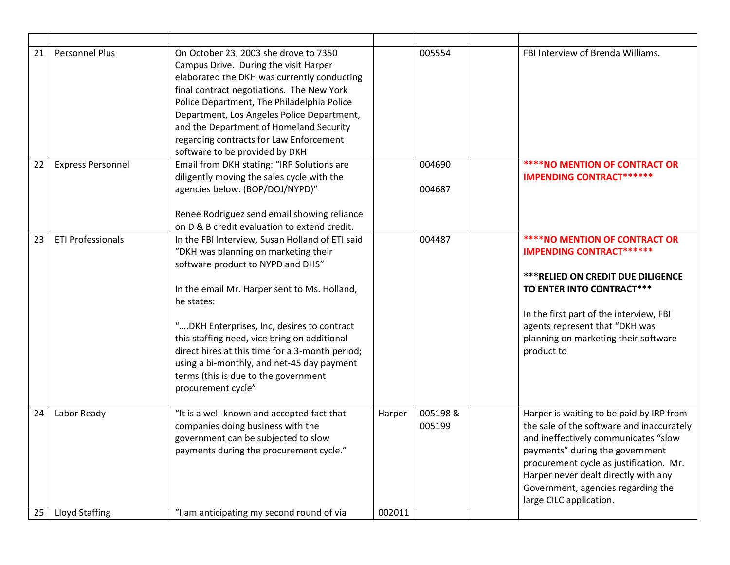| 21 | <b>Personnel Plus</b>    | On October 23, 2003 she drove to 7350<br>Campus Drive. During the visit Harper<br>elaborated the DKH was currently conducting<br>final contract negotiations. The New York<br>Police Department, The Philadelphia Police<br>Department, Los Angeles Police Department,<br>and the Department of Homeland Security<br>regarding contracts for Law Enforcement<br>software to be provided by DKH                                                          |        | 005554            | FBI Interview of Brenda Williams.                                                                                                                                                                                                                                                                                    |
|----|--------------------------|---------------------------------------------------------------------------------------------------------------------------------------------------------------------------------------------------------------------------------------------------------------------------------------------------------------------------------------------------------------------------------------------------------------------------------------------------------|--------|-------------------|----------------------------------------------------------------------------------------------------------------------------------------------------------------------------------------------------------------------------------------------------------------------------------------------------------------------|
| 22 | <b>Express Personnel</b> | Email from DKH stating: "IRP Solutions are<br>diligently moving the sales cycle with the<br>agencies below. (BOP/DOJ/NYPD)"<br>Renee Rodriguez send email showing reliance<br>on D & B credit evaluation to extend credit.                                                                                                                                                                                                                              |        | 004690<br>004687  | <b>****NO MENTION OF CONTRACT OR</b><br><b>IMPENDING CONTRACT******</b>                                                                                                                                                                                                                                              |
| 23 | <b>ETI Professionals</b> | In the FBI Interview, Susan Holland of ETI said<br>"DKH was planning on marketing their<br>software product to NYPD and DHS"<br>In the email Mr. Harper sent to Ms. Holland,<br>he states:<br>"DKH Enterprises, Inc, desires to contract<br>this staffing need, vice bring on additional<br>direct hires at this time for a 3-month period;<br>using a bi-monthly, and net-45 day payment<br>terms (this is due to the government<br>procurement cycle" |        | 004487            | <b>****NO MENTION OF CONTRACT OR</b><br><b>IMPENDING CONTRACT******</b><br><b>*** RELIED ON CREDIT DUE DILIGENCE</b><br>TO ENTER INTO CONTRACT***<br>In the first part of the interview, FBI<br>agents represent that "DKH was<br>planning on marketing their software<br>product to                                 |
| 24 | Labor Ready              | "It is a well-known and accepted fact that<br>companies doing business with the<br>government can be subjected to slow<br>payments during the procurement cycle."                                                                                                                                                                                                                                                                                       | Harper | 005198&<br>005199 | Harper is waiting to be paid by IRP from<br>the sale of the software and inaccurately<br>and ineffectively communicates "slow<br>payments" during the government<br>procurement cycle as justification. Mr.<br>Harper never dealt directly with any<br>Government, agencies regarding the<br>large CILC application. |
| 25 | Lloyd Staffing           | "I am anticipating my second round of via                                                                                                                                                                                                                                                                                                                                                                                                               | 002011 |                   |                                                                                                                                                                                                                                                                                                                      |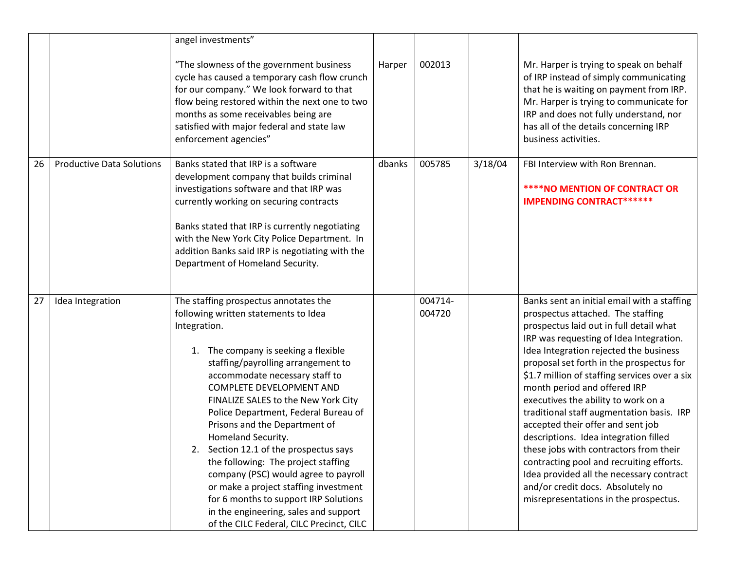|    |                                  | angel investments"<br>"The slowness of the government business<br>cycle has caused a temporary cash flow crunch<br>for our company." We look forward to that<br>flow being restored within the next one to two<br>months as some receivables being are<br>satisfied with major federal and state law<br>enforcement agencies"                                                                                                                                                                                                                                                                                                                                                   | Harper | 002013            |         | Mr. Harper is trying to speak on behalf<br>of IRP instead of simply communicating<br>that he is waiting on payment from IRP.<br>Mr. Harper is trying to communicate for<br>IRP and does not fully understand, nor<br>has all of the details concerning IRP<br>business activities.                                                                                                                                                                                                                                                                                                                                                                                                                                              |
|----|----------------------------------|---------------------------------------------------------------------------------------------------------------------------------------------------------------------------------------------------------------------------------------------------------------------------------------------------------------------------------------------------------------------------------------------------------------------------------------------------------------------------------------------------------------------------------------------------------------------------------------------------------------------------------------------------------------------------------|--------|-------------------|---------|---------------------------------------------------------------------------------------------------------------------------------------------------------------------------------------------------------------------------------------------------------------------------------------------------------------------------------------------------------------------------------------------------------------------------------------------------------------------------------------------------------------------------------------------------------------------------------------------------------------------------------------------------------------------------------------------------------------------------------|
| 26 | <b>Productive Data Solutions</b> | Banks stated that IRP is a software<br>development company that builds criminal<br>investigations software and that IRP was<br>currently working on securing contracts<br>Banks stated that IRP is currently negotiating<br>with the New York City Police Department. In<br>addition Banks said IRP is negotiating with the<br>Department of Homeland Security.                                                                                                                                                                                                                                                                                                                 | dbanks | 005785            | 3/18/04 | FBI Interview with Ron Brennan.<br><b>****NO MENTION OF CONTRACT OR</b><br><b>IMPENDING CONTRACT******</b>                                                                                                                                                                                                                                                                                                                                                                                                                                                                                                                                                                                                                      |
| 27 | Idea Integration                 | The staffing prospectus annotates the<br>following written statements to Idea<br>Integration.<br>1. The company is seeking a flexible<br>staffing/payrolling arrangement to<br>accommodate necessary staff to<br>COMPLETE DEVELOPMENT AND<br>FINALIZE SALES to the New York City<br>Police Department, Federal Bureau of<br>Prisons and the Department of<br>Homeland Security.<br>2. Section 12.1 of the prospectus says<br>the following: The project staffing<br>company (PSC) would agree to payroll<br>or make a project staffing investment<br>for 6 months to support IRP Solutions<br>in the engineering, sales and support<br>of the CILC Federal, CILC Precinct, CILC |        | 004714-<br>004720 |         | Banks sent an initial email with a staffing<br>prospectus attached. The staffing<br>prospectus laid out in full detail what<br>IRP was requesting of Idea Integration.<br>Idea Integration rejected the business<br>proposal set forth in the prospectus for<br>\$1.7 million of staffing services over a six<br>month period and offered IRP<br>executives the ability to work on a<br>traditional staff augmentation basis. IRP<br>accepted their offer and sent job<br>descriptions. Idea integration filled<br>these jobs with contractors from their<br>contracting pool and recruiting efforts.<br>Idea provided all the necessary contract<br>and/or credit docs. Absolutely no<br>misrepresentations in the prospectus. |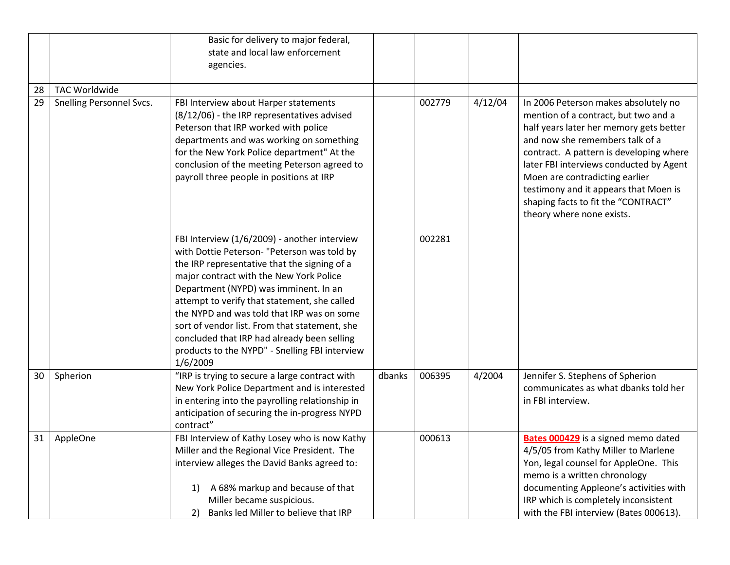|    |                          | Basic for delivery to major federal,<br>state and local law enforcement<br>agencies.                                                                                                                                                                                                                                                                                                                                                                                                        |        |        |         |                                                                                                                                                                                                                                                                                                                                                                                                 |
|----|--------------------------|---------------------------------------------------------------------------------------------------------------------------------------------------------------------------------------------------------------------------------------------------------------------------------------------------------------------------------------------------------------------------------------------------------------------------------------------------------------------------------------------|--------|--------|---------|-------------------------------------------------------------------------------------------------------------------------------------------------------------------------------------------------------------------------------------------------------------------------------------------------------------------------------------------------------------------------------------------------|
| 28 | <b>TAC Worldwide</b>     |                                                                                                                                                                                                                                                                                                                                                                                                                                                                                             |        |        |         |                                                                                                                                                                                                                                                                                                                                                                                                 |
| 29 | Snelling Personnel Svcs. | FBI Interview about Harper statements<br>(8/12/06) - the IRP representatives advised<br>Peterson that IRP worked with police<br>departments and was working on something<br>for the New York Police department" At the<br>conclusion of the meeting Peterson agreed to<br>payroll three people in positions at IRP                                                                                                                                                                          |        | 002779 | 4/12/04 | In 2006 Peterson makes absolutely no<br>mention of a contract, but two and a<br>half years later her memory gets better<br>and now she remembers talk of a<br>contract. A pattern is developing where<br>later FBI interviews conducted by Agent<br>Moen are contradicting earlier<br>testimony and it appears that Moen is<br>shaping facts to fit the "CONTRACT"<br>theory where none exists. |
|    |                          | FBI Interview (1/6/2009) - another interview<br>with Dottie Peterson- "Peterson was told by<br>the IRP representative that the signing of a<br>major contract with the New York Police<br>Department (NYPD) was imminent. In an<br>attempt to verify that statement, she called<br>the NYPD and was told that IRP was on some<br>sort of vendor list. From that statement, she<br>concluded that IRP had already been selling<br>products to the NYPD" - Snelling FBI interview<br>1/6/2009 |        | 002281 |         |                                                                                                                                                                                                                                                                                                                                                                                                 |
| 30 | Spherion                 | "IRP is trying to secure a large contract with<br>New York Police Department and is interested<br>in entering into the payrolling relationship in<br>anticipation of securing the in-progress NYPD<br>contract"                                                                                                                                                                                                                                                                             | dbanks | 006395 | 4/2004  | Jennifer S. Stephens of Spherion<br>communicates as what dbanks told her<br>in FBI interview.                                                                                                                                                                                                                                                                                                   |
| 31 | AppleOne                 | FBI Interview of Kathy Losey who is now Kathy<br>Miller and the Regional Vice President. The<br>interview alleges the David Banks agreed to:<br>A 68% markup and because of that<br>1)<br>Miller became suspicious.<br>Banks led Miller to believe that IRP<br>2)                                                                                                                                                                                                                           |        | 000613 |         | <b>Bates 000429</b> is a signed memo dated<br>4/5/05 from Kathy Miller to Marlene<br>Yon, legal counsel for AppleOne. This<br>memo is a written chronology<br>documenting Appleone's activities with<br>IRP which is completely inconsistent<br>with the FBI interview (Bates 000613).                                                                                                          |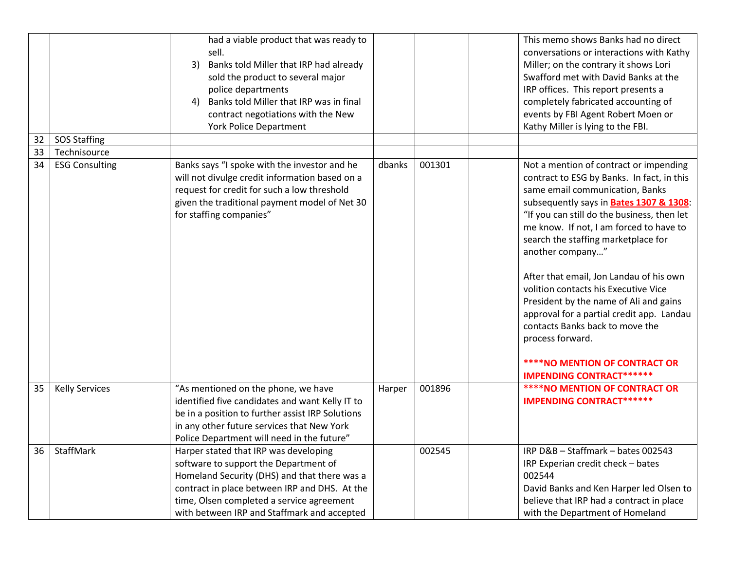| 32 | <b>SOS Staffing</b>   | had a viable product that was ready to<br>sell.<br>Banks told Miller that IRP had already<br>3)<br>sold the product to several major<br>police departments<br>Banks told Miller that IRP was in final<br>4)<br>contract negotiations with the New<br><b>York Police Department</b> |        |        | This memo shows Banks had no direct<br>conversations or interactions with Kathy<br>Miller; on the contrary it shows Lori<br>Swafford met with David Banks at the<br>IRP offices. This report presents a<br>completely fabricated accounting of<br>events by FBI Agent Robert Moen or<br>Kathy Miller is lying to the FBI.                                                                                                                                                                                                                                                                                                                      |
|----|-----------------------|------------------------------------------------------------------------------------------------------------------------------------------------------------------------------------------------------------------------------------------------------------------------------------|--------|--------|------------------------------------------------------------------------------------------------------------------------------------------------------------------------------------------------------------------------------------------------------------------------------------------------------------------------------------------------------------------------------------------------------------------------------------------------------------------------------------------------------------------------------------------------------------------------------------------------------------------------------------------------|
| 33 | Technisource          |                                                                                                                                                                                                                                                                                    |        |        |                                                                                                                                                                                                                                                                                                                                                                                                                                                                                                                                                                                                                                                |
| 34 | <b>ESG Consulting</b> | Banks says "I spoke with the investor and he<br>will not divulge credit information based on a<br>request for credit for such a low threshold<br>given the traditional payment model of Net 30<br>for staffing companies"                                                          | dbanks | 001301 | Not a mention of contract or impending<br>contract to ESG by Banks. In fact, in this<br>same email communication, Banks<br>subsequently says in <b>Bates 1307 &amp; 1308:</b><br>"If you can still do the business, then let<br>me know. If not, I am forced to have to<br>search the staffing marketplace for<br>another company"<br>After that email, Jon Landau of his own<br>volition contacts his Executive Vice<br>President by the name of Ali and gains<br>approval for a partial credit app. Landau<br>contacts Banks back to move the<br>process forward.<br><b>****NO MENTION OF CONTRACT OR</b><br><b>IMPENDING CONTRACT******</b> |
| 35 | <b>Kelly Services</b> | "As mentioned on the phone, we have<br>identified five candidates and want Kelly IT to<br>be in a position to further assist IRP Solutions<br>in any other future services that New York<br>Police Department will need in the future"                                             | Harper | 001896 | <b>****NO MENTION OF CONTRACT OR</b><br><b>IMPENDING CONTRACT******</b>                                                                                                                                                                                                                                                                                                                                                                                                                                                                                                                                                                        |
| 36 | StaffMark             | Harper stated that IRP was developing<br>software to support the Department of<br>Homeland Security (DHS) and that there was a<br>contract in place between IRP and DHS. At the<br>time, Olsen completed a service agreement<br>with between IRP and Staffmark and accepted        |        | 002545 | IRP D&B - Staffmark - bates 002543<br>IRP Experian credit check - bates<br>002544<br>David Banks and Ken Harper led Olsen to<br>believe that IRP had a contract in place<br>with the Department of Homeland                                                                                                                                                                                                                                                                                                                                                                                                                                    |